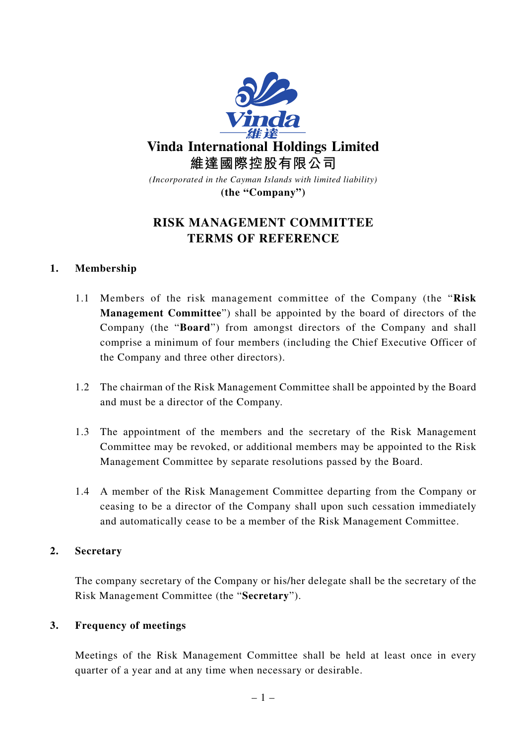

# **RISK MANAGEMENT COMMITTEE TERMS OF REFERENCE**

## **1. Membership**

- 1.1 Members of the risk management committee of the Company (the "**Risk Management Committee**") shall be appointed by the board of directors of the Company (the "**Board**") from amongst directors of the Company and shall comprise a minimum of four members (including the Chief Executive Officer of the Company and three other directors).
- 1.2 The chairman of the Risk Management Committee shall be appointed by the Board and must be a director of the Company.
- 1.3 The appointment of the members and the secretary of the Risk Management Committee may be revoked, or additional members may be appointed to the Risk Management Committee by separate resolutions passed by the Board.
- 1.4 A member of the Risk Management Committee departing from the Company or ceasing to be a director of the Company shall upon such cessation immediately and automatically cease to be a member of the Risk Management Committee.

## **2. Secretary**

The company secretary of the Company or his/her delegate shall be the secretary of the Risk Management Committee (the "**Secretary**").

## **3. Frequency of meetings**

Meetings of the Risk Management Committee shall be held at least once in every quarter of a year and at any time when necessary or desirable.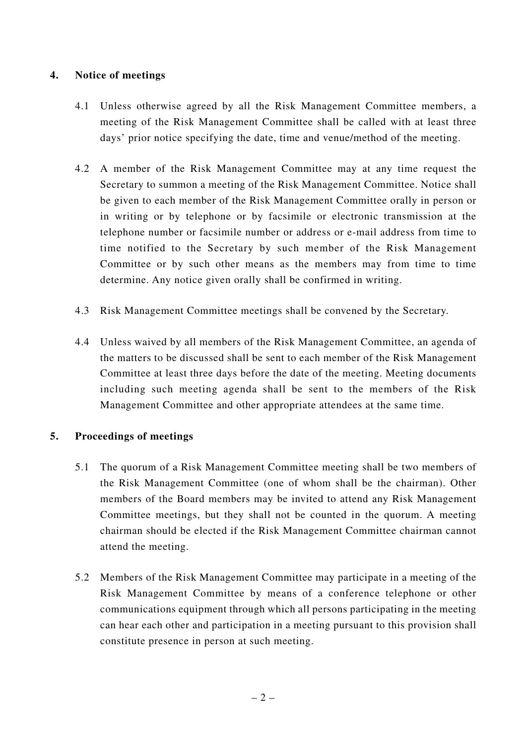## **4. Notice of meetings**

- 4.1 Unless otherwise agreed by all the Risk Management Committee members, a meeting of the Risk Management Committee shall be called with at least three days' prior notice specifying the date, time and venue/method of the meeting.
- 4.2 A member of the Risk Management Committee may at any time request the Secretary to summon a meeting of the Risk Management Committee. Notice shall be given to each member of the Risk Management Committee orally in person or in writing or by telephone or by facsimile or electronic transmission at the telephone number or facsimile number or address or e-mail address from time to time notified to the Secretary by such member of the Risk Management Committee or by such other means as the members may from time to time determine. Any notice given orally shall be confirmed in writing.
- 4.3 Risk Management Committee meetings shall be convened by the Secretary.
- 4.4 Unless waived by all members of the Risk Management Committee, an agenda of the matters to be discussed shall be sent to each member of the Risk Management Committee at least three days before the date of the meeting. Meeting documents including such meeting agenda shall be sent to the members of the Risk Management Committee and other appropriate attendees at the same time.

## **5. Proceedings of meetings**

- 5.1 The quorum of a Risk Management Committee meeting shall be two members of the Risk Management Committee (one of whom shall be the chairman). Other members of the Board members may be invited to attend any Risk Management Committee meetings, but they shall not be counted in the quorum. A meeting chairman should be elected if the Risk Management Committee chairman cannot attend the meeting.
- 5.2 Members of the Risk Management Committee may participate in a meeting of the Risk Management Committee by means of a conference telephone or other communications equipment through which all persons participating in the meeting can hear each other and participation in a meeting pursuant to this provision shall constitute presence in person at such meeting.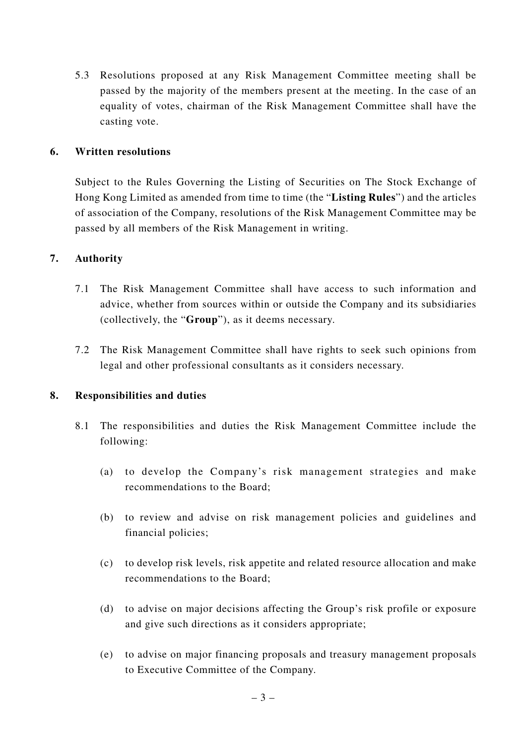5.3 Resolutions proposed at any Risk Management Committee meeting shall be passed by the majority of the members present at the meeting. In the case of an equality of votes, chairman of the Risk Management Committee shall have the casting vote.

## **6. Written resolutions**

Subject to the Rules Governing the Listing of Securities on The Stock Exchange of Hong Kong Limited as amended from time to time (the "**Listing Rules**") and the articles of association of the Company, resolutions of the Risk Management Committee may be passed by all members of the Risk Management in writing.

## **7. Authority**

- 7.1 The Risk Management Committee shall have access to such information and advice, whether from sources within or outside the Company and its subsidiaries (collectively, the "**Group**"), as it deems necessary.
- 7.2 The Risk Management Committee shall have rights to seek such opinions from legal and other professional consultants as it considers necessary.

## **8. Responsibilities and duties**

- 8.1 The responsibilities and duties the Risk Management Committee include the following:
	- (a) to develop the Company's risk management strategies and make recommendations to the Board;
	- (b) to review and advise on risk management policies and guidelines and financial policies;
	- (c) to develop risk levels, risk appetite and related resource allocation and make recommendations to the Board;
	- (d) to advise on major decisions affecting the Group's risk profile or exposure and give such directions as it considers appropriate;
	- (e) to advise on major financing proposals and treasury management proposals to Executive Committee of the Company.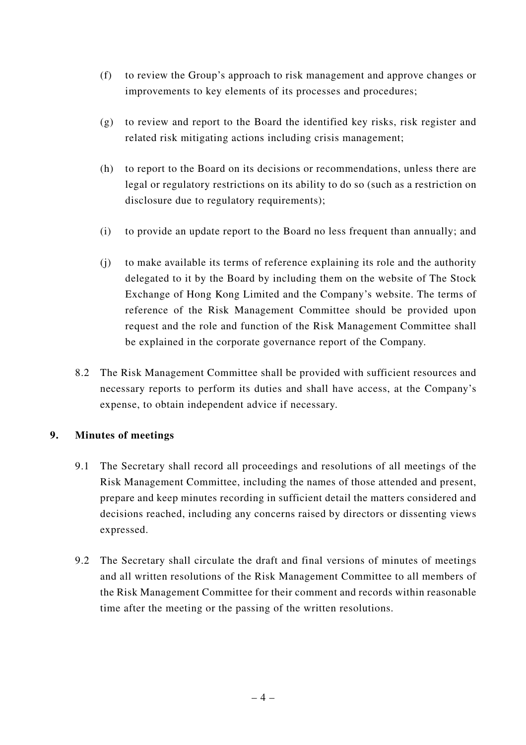- (f) to review the Group's approach to risk management and approve changes or improvements to key elements of its processes and procedures;
- (g) to review and report to the Board the identified key risks, risk register and related risk mitigating actions including crisis management;
- (h) to report to the Board on its decisions or recommendations, unless there are legal or regulatory restrictions on its ability to do so (such as a restriction on disclosure due to regulatory requirements);
- (i) to provide an update report to the Board no less frequent than annually; and
- (j) to make available its terms of reference explaining its role and the authority delegated to it by the Board by including them on the website of The Stock Exchange of Hong Kong Limited and the Company's website. The terms of reference of the Risk Management Committee should be provided upon request and the role and function of the Risk Management Committee shall be explained in the corporate governance report of the Company.
- 8.2 The Risk Management Committee shall be provided with sufficient resources and necessary reports to perform its duties and shall have access, at the Company's expense, to obtain independent advice if necessary.

## **9. Minutes of meetings**

- 9.1 The Secretary shall record all proceedings and resolutions of all meetings of the Risk Management Committee, including the names of those attended and present, prepare and keep minutes recording in sufficient detail the matters considered and decisions reached, including any concerns raised by directors or dissenting views expressed.
- 9.2 The Secretary shall circulate the draft and final versions of minutes of meetings and all written resolutions of the Risk Management Committee to all members of the Risk Management Committee for their comment and records within reasonable time after the meeting or the passing of the written resolutions.